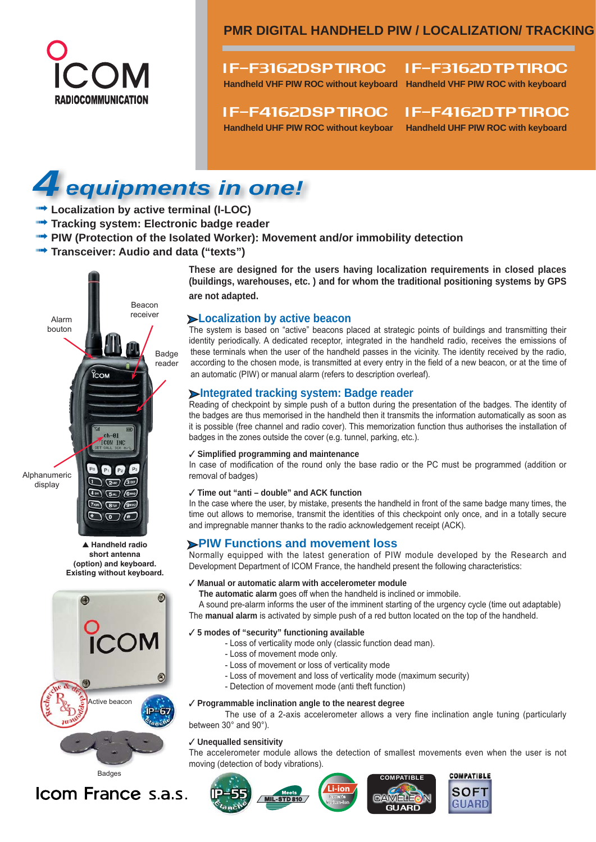

# if-f3162dsptiroc if-f3162dtptiroc

**Handheld VHF PIW ROC without keyboard Handheld VHF PIW ROC with keyboard**

# if-f4162dsptiroc if-f4162dtptiroc

**Handheld UHF PIW ROC without keyboar Handheld UHF PIW ROC with keyboard**

# **li ti <sup>b</sup> ti <sup>t</sup> <sup>i</sup> <sup>l</sup> (I LOC)***4 equipments in one!*

- **film Localization by active terminal (I-LOC)**
- **Tracking system: Electronic badge reader**

Badge reader

- **FIW (Protection of the Isolated Worker): Movement and/or immobility detection**
- **Fransceiver: Audio and data ("texts")**

Beacon receiver **These are designed for the users having localization requirements in closed places (buildings, warehouses, etc. ) and for whom the traditional positioning systems by GPS are not adapted.**

# ‰ **Localization by active beacon**

The system is based on "active" beacons placed at strategic points of buildings and transmitting their identity periodically. A dedicated receptor, integrated in the handheld radio, receives the emissions of these terminals when the user of the handheld passes in the vicinity. The identity received by the radio, according to the chosen mode, is transmitted at every entry in the field of a new beacon, or at the time of an automatic (PIW) or manual alarm (refers to description overleaf).

# ‰ **Integrated tracking system: Badge reader**

Reading of checkpoint by simple push of a button during the presentation of the badges. The identity of the badges are thus memorised in the handheld then it transmits the information automatically as soon as it is possible (free channel and radio cover). This memorization function thus authorises the installation of badges in the zones outside the cover (e.g. tunnel, parking, etc.).

#### 3 **Simplified programming and maintenance**

In case of modification of the round only the base radio or the PC must be programmed (addition or removal of badges)

#### 3 **Time out "anti – double" and ACK function**

In the case where the user, by mistake, presents the handheld in front of the same badge many times, the time out allows to memorise, transmit the identities of this checkpoint only once, and in a totally secure and impregnable manner thanks to the radio acknowledgement receipt (ACK).

# ‰ **PIW Functions and movement loss**

Normally equipped with the latest generation of PIW module developed by the Research and Development Department of ICOM France, the handheld present the following characteristics:

#### 3 **Manual or automatic alarm with accelerometer module**

**The automatic alarm** goes off when the handheld is inclined or immobile.

A sound pre-alarm informs the user of the imminent starting of the urgency cycle (time out adaptable) The **manual alarm** is activated by simple push of a red button located on the top of the handheld.

#### 3 **5 modes of "security" functioning available**

- Loss of verticality mode only (classic function dead man).

- Loss of movement mode only.
- Loss of movement or loss of verticality mode
- Loss of movement and loss of verticality mode (maximum security)
- Detection of movement mode (anti theft function)

#### 3 **Programmable inclination angle to the nearest degree**

The use of a 2-axis accelerometer allows a very fine inclination angle tuning (particularly between 30° and 90°).

#### 3 **Unequalled sensitivity**

The accelerometer module allows the detection of smallest movements even when the user is not moving (detection of body vibrations).





Icom France s.a.s.

**TCOM IN**  $P<sub>2</sub>$ Alphanumeric  $(246)$   $(360)$ display  $\bigcirc$  $\overline{(5m)}$   $\overline{(6m)}$  $\overline{(\overline{f}^{reg})}$  $\left( 8$ tuv $\right)$  (9mm)  $\sigma$   $\pi$ s **Handheld radio**

ိုင္မွာ

 Alarm bouton

> **short antenna (option) and keyboard. Existing without keyboard.**